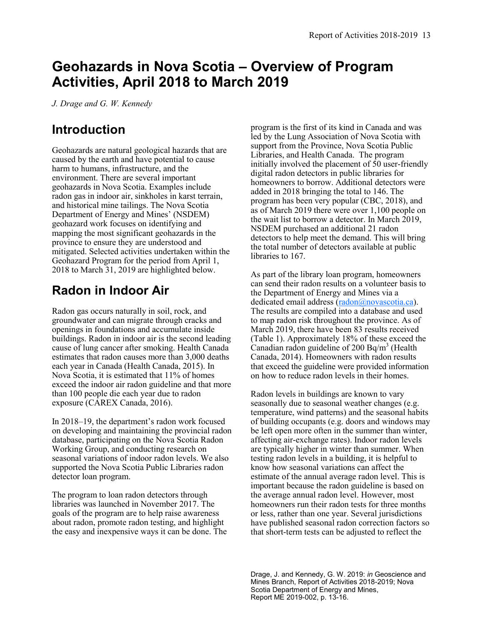# **Geohazards in Nova Scotia – Overview of Program Activities, April 2018 to March 2019**

*J. Drage and G. W. Kennedy* 

#### **Introduction**

Geohazards are natural geological hazards that are caused by the earth and have potential to cause harm to humans, infrastructure, and the environment. There are several important geohazards in Nova Scotia. Examples include radon gas in indoor air, sinkholes in karst terrain, and historical mine tailings. The Nova Scotia Department of Energy and Mines' (NSDEM) geohazard work focuses on identifying and mapping the most significant geohazards in the province to ensure they are understood and mitigated. Selected activities undertaken within the Geohazard Program for the period from April 1, 2018 to March 31, 2019 are highlighted below.

#### **Radon in Indoor Air**

Radon gas occurs naturally in soil, rock, and groundwater and can migrate through cracks and openings in foundations and accumulate inside buildings. Radon in indoor air is the second leading cause of lung cancer after smoking. Health Canada estimates that radon causes more than 3,000 deaths each year in Canada (Health Canada, 2015). In Nova Scotia, it is estimated that 11% of homes exceed the indoor air radon guideline and that more than 100 people die each year due to radon exposure (CAREX Canada, 2016).

In 2018–19, the department's radon work focused on developing and maintaining the provincial radon database, participating on the Nova Scotia Radon Working Group, and conducting research on seasonal variations of indoor radon levels. We also supported the Nova Scotia Public Libraries radon detector loan program.

The program to loan radon detectors through libraries was launched in November 2017. The goals of the program are to help raise awareness about radon, promote radon testing, and highlight the easy and inexpensive ways it can be done. The

program is the first of its kind in Canada and was led by the Lung Association of Nova Scotia with support from the Province, Nova Scotia Public Libraries, and Health Canada. The program initially involved the placement of 50 user-friendly digital radon detectors in public libraries for homeowners to borrow. Additional detectors were added in 2018 bringing the total to 146. The program has been very popular (CBC, 2018), and as of March 2019 there were over 1,100 people on the wait list to borrow a detector. In March 2019, NSDEM purchased an additional 21 radon detectors to help meet the demand. This will bring the total number of detectors available at public libraries to 167.

As part of the library loan program, homeowners can send their radon results on a volunteer basis to the Department of Energy and Mines via a dedicated email address ([radon@novascotia.ca\).](mailto:radon@novascotia.ca) The results are compiled into a database and used to map radon risk throughout the province. As of March 2019, there have been 83 results received (Table 1). Approximately 18% of these exceed the Canadian radon guideline of 200 Bq/m<sup>3</sup> (Health Canada, 2014). Homeowners with radon results that exceed the guideline were provided information on how to reduce radon levels in their homes.

Radon levels in buildings are known to vary seasonally due to seasonal weather changes (e.g. temperature, wind patterns) and the seasonal habits of building occupants (e.g. doors and windows may be left open more often in the summer than winter, affecting air-exchange rates). Indoor radon levels are typically higher in winter than summer. When testing radon levels in a building, it is helpful to know how seasonal variations can affect the estimate of the annual average radon level. This is important because the radon guideline is based on the average annual radon level. However, most homeowners run their radon tests for three months or less, rather than one year. Several jurisdictions have published seasonal radon correction factors so that short-term tests can be adjusted to reflect the

Drage, J. and Kennedy, G. W. 2019: *in* Geoscience and Mines Branch, Report of Activities 2018-2019; Nova Scotia Department of Energy and Mines, Report ME 2019-002, p. 13-16.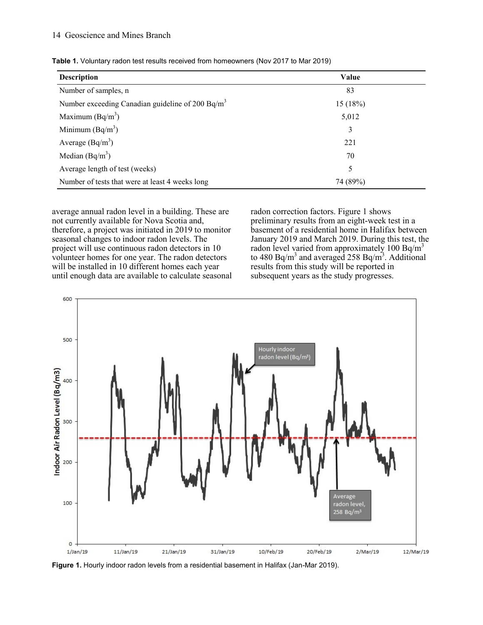| <b>Description</b>                                           | Value    |
|--------------------------------------------------------------|----------|
| Number of samples, n                                         | 83       |
| Number exceeding Canadian guideline of 200 Bq/m <sup>3</sup> | 15(18%)  |
| Maximum $(Bq/m^3)$                                           | 5,012    |
| Minimum $(Bq/m^3)$                                           | 3        |
| Average $(Bq/m^3)$                                           | 221      |
| Median $(Bq/m^3)$                                            | 70       |
| Average length of test (weeks)                               | 5        |
| Number of tests that were at least 4 weeks long              | 74 (89%) |

**Table 1.** Voluntary radon test results received from homeowners (Nov 2017 to Mar 2019)

average annual radon level in a building. These are not currently available for Nova Scotia and, therefore, a project was initiated in 2019 to monitor seasonal changes to indoor radon levels. The project will use continuous radon detectors in 10 volunteer homes for one year. The radon detectors will be installed in 10 different homes each year until enough data are available to calculate seasonal radon correction factors. Figure 1 shows preliminary results from an eight-week test in a basement of a residential home in Halifax between January 2019 and March 2019. During this test, the radon level varied from approximately  $100$  Bq/m<sup>3</sup> to 480 Bq/m<sup>3</sup> and averaged 258 Bq/m<sup>3</sup>. Additional results from this study will be reported in subsequent years as the study progresses.



**Figure 1.** Hourly indoor radon levels from a residential basement in Halifax (Jan-Mar 2019).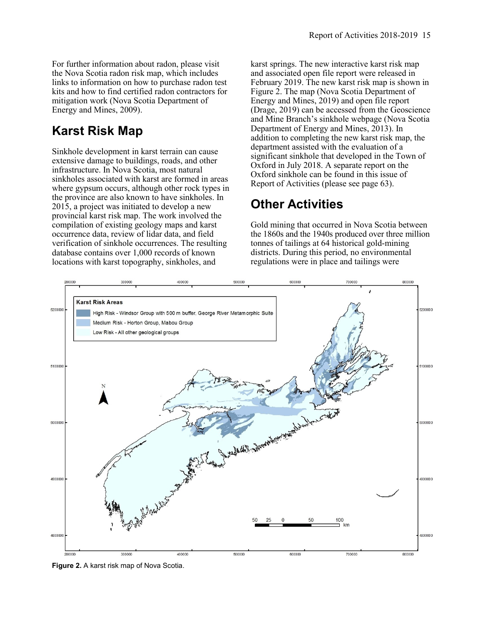For further information about radon, please visit the Nova Scotia radon risk map, which includes links to information on how to purchase radon test kits and how to find certified radon contractors for mitigation work (Nova Scotia Department of Energy and Mines, 2009).

# **Karst Risk Map**

Sinkhole development in karst terrain can cause extensive damage to buildings, roads, and other infrastructure. In Nova Scotia, most natural sinkholes associated with karst are formed in areas where gypsum occurs, although other rock types in the province are also known to have sinkholes. In 2015, a project was initiated to develop a new provincial karst risk map. The work involved the compilation of existing geology maps and karst occurrence data, review of lidar data, and field verification of sinkhole occurrences. The resulting database contains over 1,000 records of known locations with karst topography, sinkholes, and

karst springs. The new interactive karst risk map and associated open file report were released in February 2019. The new karst risk map is shown in Figure 2. The map (Nova Scotia Department of Energy and Mines, 2019) and open file report (Drage, 2019) can be accessed from the Geoscience and Mine Branch's sinkhole webpage (Nova Scotia Department of Energy and Mines, 2013). In addition to completing the new karst risk map, the department assisted with the evaluation of a significant sinkhole that developed in the Town of Oxford in July 2018. A separate report on the Oxford sinkhole can be found in this issue of Report of Activities (please see page 63).

## **Other Activities**

Gold mining that occurred in Nova Scotia between the 1860s and the 1940s produced over three million tonnes of tailings at 64 historical gold-mining districts. During this period, no environmental regulations were in place and tailings were



**Figure 2.** A karst risk map of Nova Scotia.